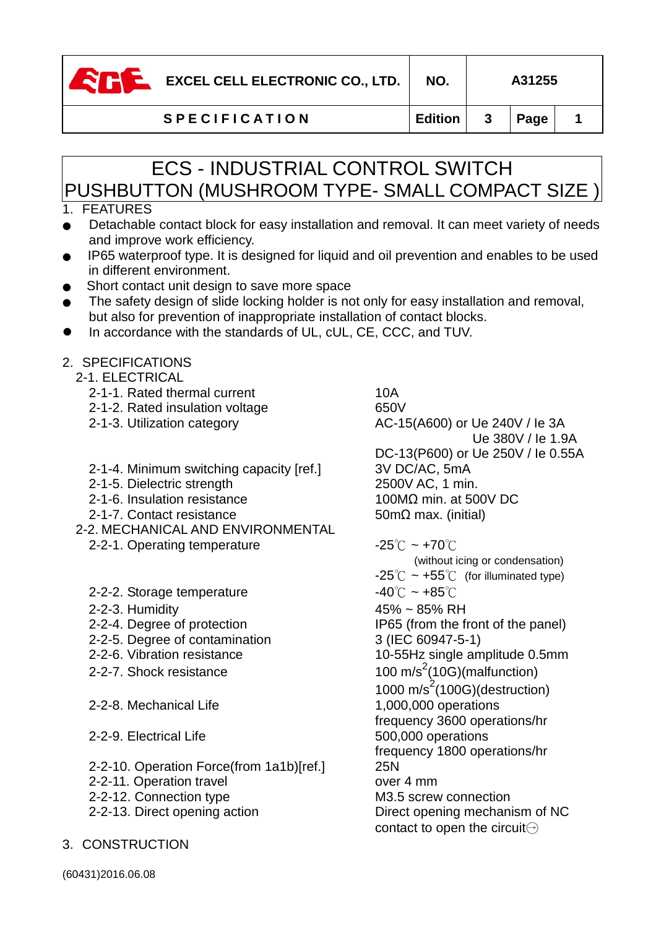

**EXCEL CELL ELECTRONIC CO., LTD.** NO. | A31255

**S P E C I F I C A T I O N Edition 3 Page 1**

# ECS - INDUSTRIAL CONTROL SWITCH PUSHBUTTON (MUSHROOM TYPE- SMALL COMPACT SIZE )

# 1. FEATURES

- Detachable contact block for easy installation and removal. It can meet variety of needs and improve work efficiency.
- IP65 waterproof type. It is designed for liquid and oil prevention and enables to be used in different environment.
- Short contact unit design to save more space
- The safety design of slide locking holder is not only for easy installation and removal, but also for prevention of inappropriate installation of contact blocks.
- In accordance with the standards of UL, cUL, CE, CCC, and TUV.

### 2. SPECIFICATIONS

- 2-1. ELECTRICAL
	- 2-1-1. Rated thermal current 10A
	- 2-1-2. Rated insulation voltage 650V
	-
	- 2-1-4. Minimum switching capacity [ref.] 3V DC/AC, 5mA
	- 2-1-5. Dielectric strength 2500V AC, 1 min.
	- $2-1-6$ . Insulation resistance 100MΩ min. at 500V DC
	- 2-1-7. Contact resistance 50mΩ max. (initial)
- 2-2. MECHANICAL AND ENVIRONMENTAL
	- 2-2-1. Operating temperature  $-25^{\circ}\text{C} \sim +70^{\circ}\text{C}$
	- 2-2-2. Storage temperature  $-40^{\circ}$ C ~  $+85^{\circ}$ C
	-
	-
	- 2-2-5. Degree of contamination 3 (IEC 60947-5-1)
	-
	- 2-2-7. Shock resistance
	- 2-2-8. Mechanical Life 1,000,000 operations
	- 2-2-9. Electrical Life 500,000 operations
	- 2-2-10. Operation Force(from 1a1b)[ref.] 25N
	- 2-2-11. Operation travel example over 4 mm
	- 2-2-12. Connection type M3.5 screw connection
	-
- 3. CONSTRUCTION

2-1-3. Utilization category  $AC-15( A600)$  or Ue 240V / le 3A Ue 380V / Ie 1.9A DC-13(P600) or Ue 250V / Ie 0.55A

(without icing or condensation)  $-25^{\circ}$ C ~ +55 $^{\circ}$  (for illuminated type) 2-2-3. Humidity 45% ~ 85% RH 2-2-4. Degree of protection IP65 (from the front of the panel) 2-2-6. Vibration resistance 10-55Hz single amplitude 0.5mm 100 m/s<sup>2</sup>(10G)(malfunction)  $1000 \text{ m/s}^2 (100 \text{G})$ (destruction) frequency 3600 operations/hr frequency 1800 operations/hr 2-2-13. Direct opening action Direct opening mechanism of NC contact to open the circuit $\ominus$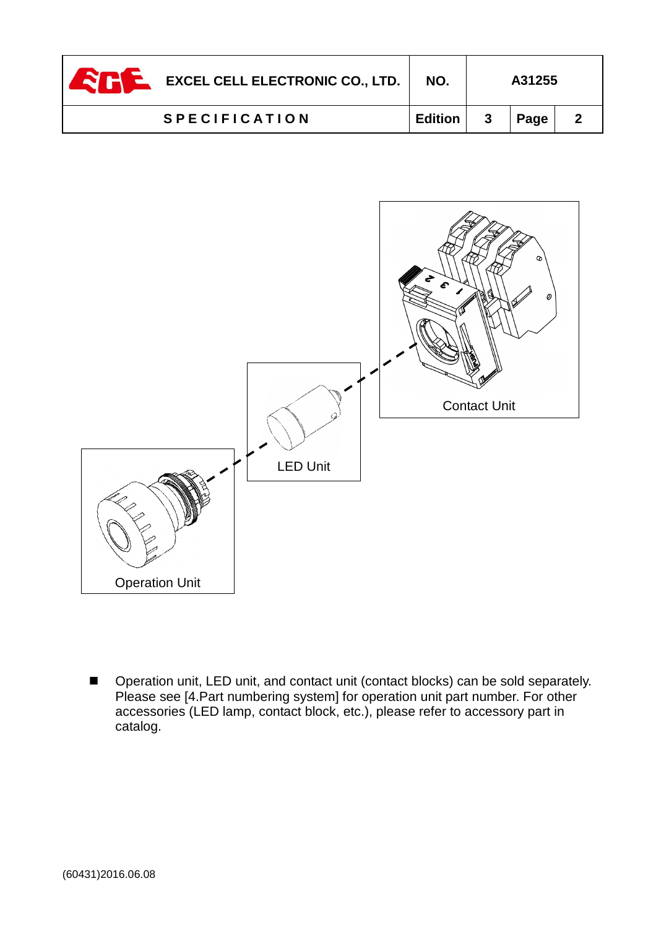| EXCEL CELL ELECTRONIC CO., LTD. | NO.     |              | A31255 |  |
|---------------------------------|---------|--------------|--------|--|
| <b>SPECIFICATION</b>            | Edition | $\mathbf{3}$ | Page   |  |



- Operation unit, LED unit, and contact unit (contact blocks) can be sold separately. Please see [4.Part numbering system] for operation unit part number. For other accessories (LED lamp, contact block, etc.), please refer to accessory part in catalog.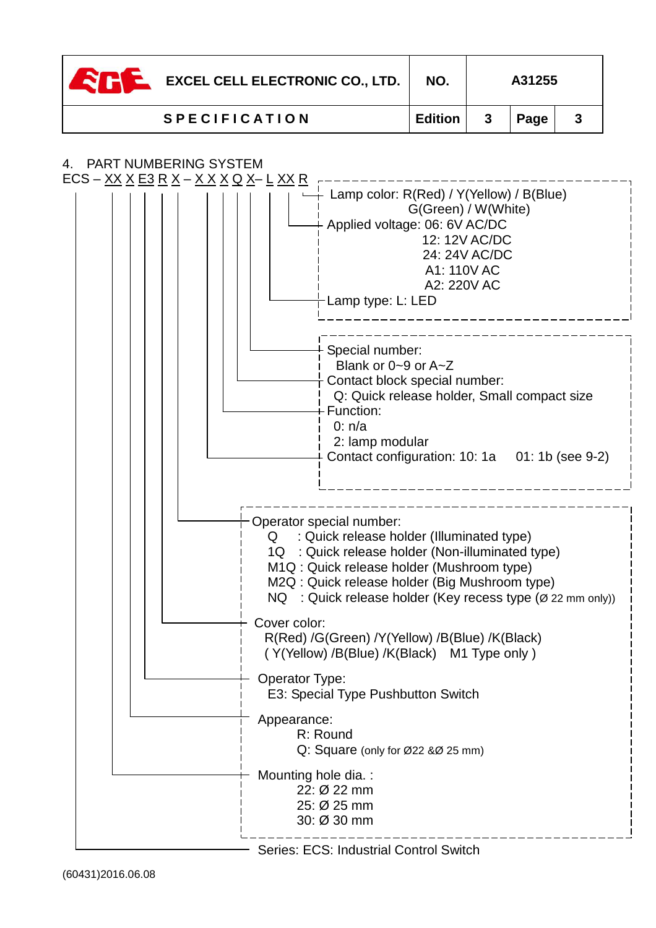| <b>EXCEL CELL ELECTRONIC CO., LTD.</b> | NO.            |              | A31255 |  |
|----------------------------------------|----------------|--------------|--------|--|
| <b>SPECIFICATION</b>                   | <b>Edition</b> | $\mathbf{3}$ | Page   |  |

## 4. PART NUMBERING SYSTEM



Series: ECS: Industrial Control Switch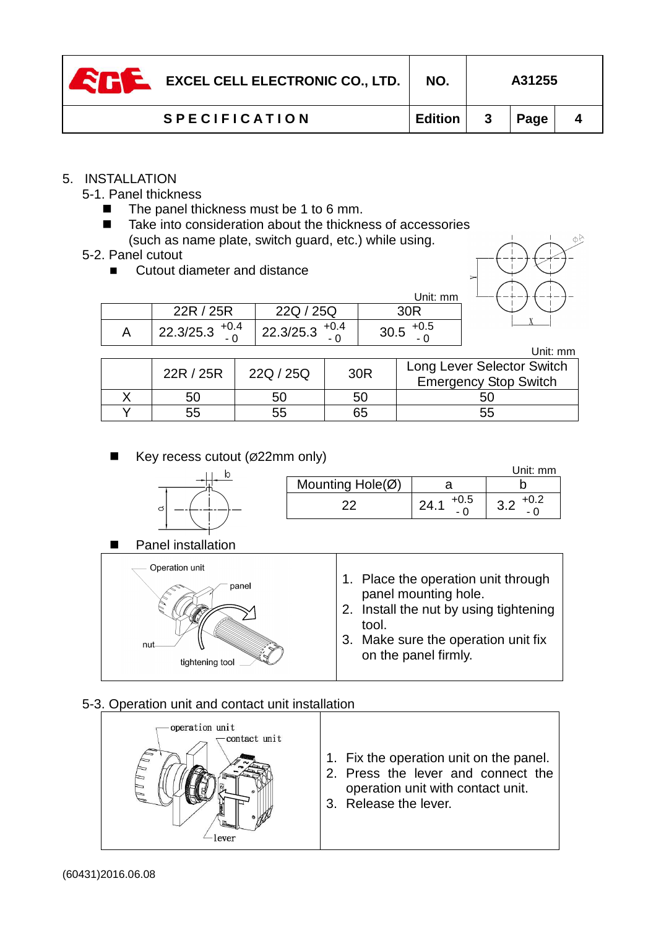| <b>EXCEL CELL ELECTRONIC CO., LTD.</b><br><b>TN</b> | NO.     |   | A31255 |  |
|-----------------------------------------------------|---------|---|--------|--|
| <b>SPECIFICATION</b>                                | Edition | 3 | Page   |  |

#### 5. INSTALLATION

- 5-1. Panel thickness
	- -The panel thickness must be 1 to 6 mm.
	- - Take into consideration about the thickness of accessories (such as name plate, switch guard, etc.) while using.
- 5-2. Panel cutout
	- -Cutout diameter and distance

|                       |                     | Unit: mm       |
|-----------------------|---------------------|----------------|
| 22R / 25R             | 22Q / 25Q           | 30R            |
| $22.3/25.3$ $^{+0.4}$ | 22.3/25.3 $^{+0.4}$ | $+0.5$<br>30.5 |

|  |           |           |     | Unit: mm                                                   |
|--|-----------|-----------|-----|------------------------------------------------------------|
|  | 22R / 25R | 22Q / 25Q | 30R | Long Lever Selector Switch<br><b>Emergency Stop Switch</b> |
|  | 50        |           | 50  |                                                            |
|  | 55        |           | 65  | 55                                                         |

#### -Key recess cutout (Ø22mm only)



|   |                            |                | Jnit: mm         |
|---|----------------------------|----------------|------------------|
|   | Mounting $Hole(\emptyset)$ |                |                  |
| O | nr                         | $+0.5$<br>24.7 | +v.z<br>v.L<br>- |

-Panel installation

| Operation unit<br>panel<br>nut<br>tightening tool | 1. Place the operation unit through<br>panel mounting hole.<br>2. Install the nut by using tightening<br>tool.<br>3. Make sure the operation unit fix<br>on the panel firmly. |
|---------------------------------------------------|-------------------------------------------------------------------------------------------------------------------------------------------------------------------------------|
|---------------------------------------------------|-------------------------------------------------------------------------------------------------------------------------------------------------------------------------------|

# 5-3. Operation unit and contact unit installation

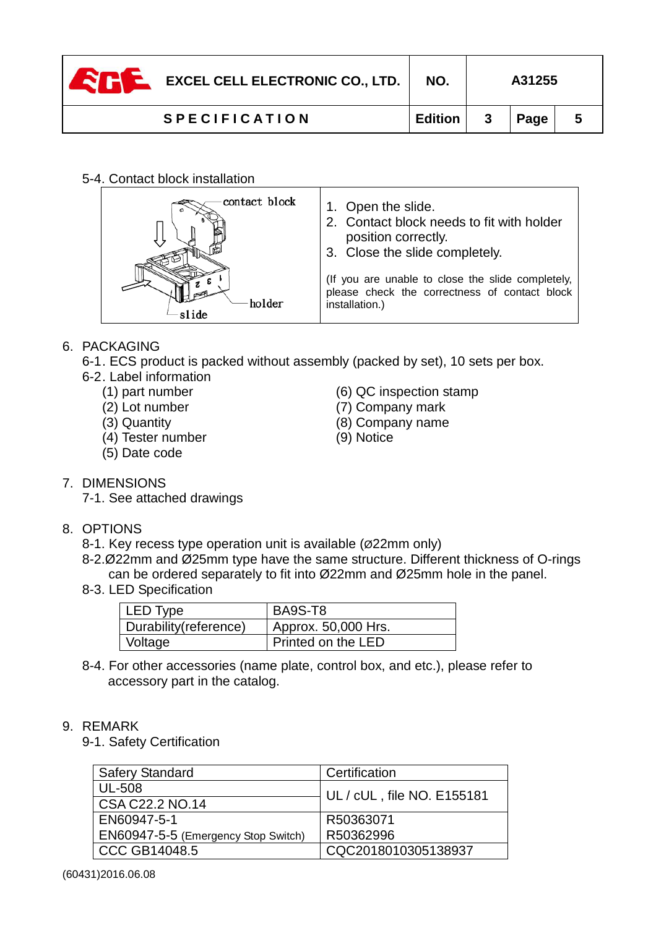| <b>ZHE</b> | <b>EXCEL CELL ELECTRONIC CO., LTD.</b> | NO.            | A31255 |  |
|------------|----------------------------------------|----------------|--------|--|
|            | <b>SPECIFICATION</b>                   | <b>Edition</b> | Page   |  |

#### 5-4. Contact block installation

| contact block | 1. Open the slide.<br>2. Contact block needs to fit with holder<br>position correctly.<br>3. Close the slide completely. |
|---------------|--------------------------------------------------------------------------------------------------------------------------|
| holder        | (If you are unable to close the slide completely,<br>please check the correctness of contact block<br>installation.)     |

#### 6. PACKAGING

6-1 . ECS product is packed without assembly (packed by set), 10 sets per box.

6-2 . Label information

- 
- 
- 
- (4) Tester number (9) Notice
- (5) Date code
- (1) part number (6) QC inspection stamp
- (2) Lot number (7) Company mark
- (3) Quantity (8) Company name
	-

- 7. DIMENSIONS
	- 7-1. See attached drawings

### 8. OPTIONS

- 8-1. Key recess type operation unit is available (Ø22mm only)
- 8-2.Ø22mm and Ø25mm type have the same structure. Different thickness of O-rings can be ordered separately to fit into Ø22mm and Ø25mm hole in the panel.
- 8-3. LED Specification

| LED Type              | BA9S-T8                          |
|-----------------------|----------------------------------|
| Durability(reference) | <sup>1</sup> Approx. 50,000 Hrs. |
| Voltage               | Printed on the LED               |

8-4. For other accessories (name plate, control box, and etc.), please refer to accessory part in the catalog.

#### 9. REMARK

9-1. Safety Certification

| <b>Safery Standard</b>              | Certification              |
|-------------------------------------|----------------------------|
| UL-508                              | UL / cUL, file NO. E155181 |
| CSA C22.2 NO.14                     |                            |
| EN60947-5-1                         | R50363071                  |
| EN60947-5-5 (Emergency Stop Switch) | R50362996                  |
| <b>CCC GB14048.5</b>                | CQC2018010305138937        |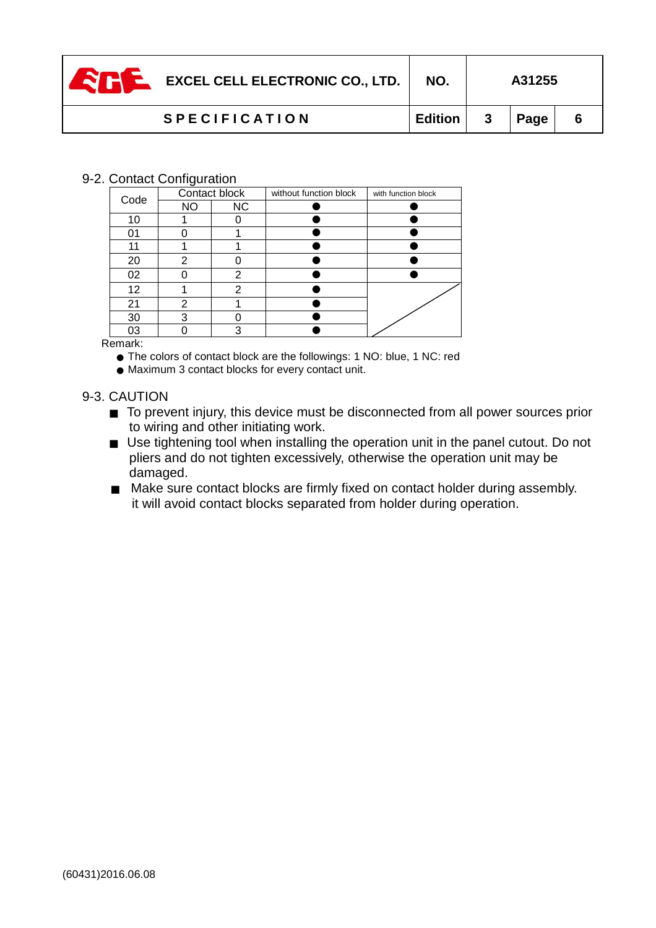| EXCEL CELL ELECTRONIC CO., LTD. | NO.     |              | A31255      |  |
|---------------------------------|---------|--------------|-------------|--|
| <b>SPECIFICATION</b>            | Edition | $\mathbf{3}$ | <b>Page</b> |  |

#### 9-2. Contact Configuration

| Code            | Contact block |           | without function block | with function block |
|-----------------|---------------|-----------|------------------------|---------------------|
|                 | <b>NO</b>     | <b>NC</b> |                        |                     |
| 10              |               |           |                        |                     |
| 01              |               |           |                        |                     |
| 11              |               |           |                        |                     |
| 20              | 2             |           |                        |                     |
| 02              |               | າ         |                        |                     |
| 12 <sub>2</sub> |               | 2         |                        |                     |
| 21              | 2             |           |                        |                     |
| 30              | з             |           |                        |                     |
| 03              |               | ৭         |                        |                     |

Remark:

- The colors of contact block are the followings: 1 NO: blue, 1 NC: red
- Maximum 3 contact blocks for every contact unit.

#### 9-3. CAUTION

- To prevent injury, this device must be disconnected from all power sources prior to wiring and other initiating work.
- Use tightening tool when installing the operation unit in the panel cutout. Do not pliers and do not tighten excessively, otherwise the operation unit may be damaged.
- Make sure contact blocks are firmly fixed on contact holder during assembly. it will avoid contact blocks separated from holder during operation.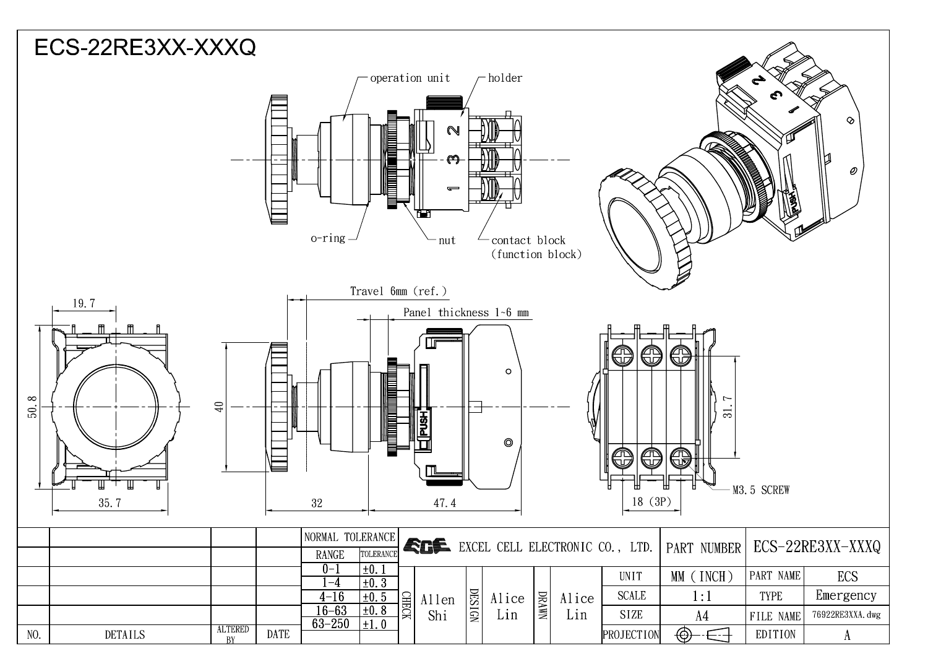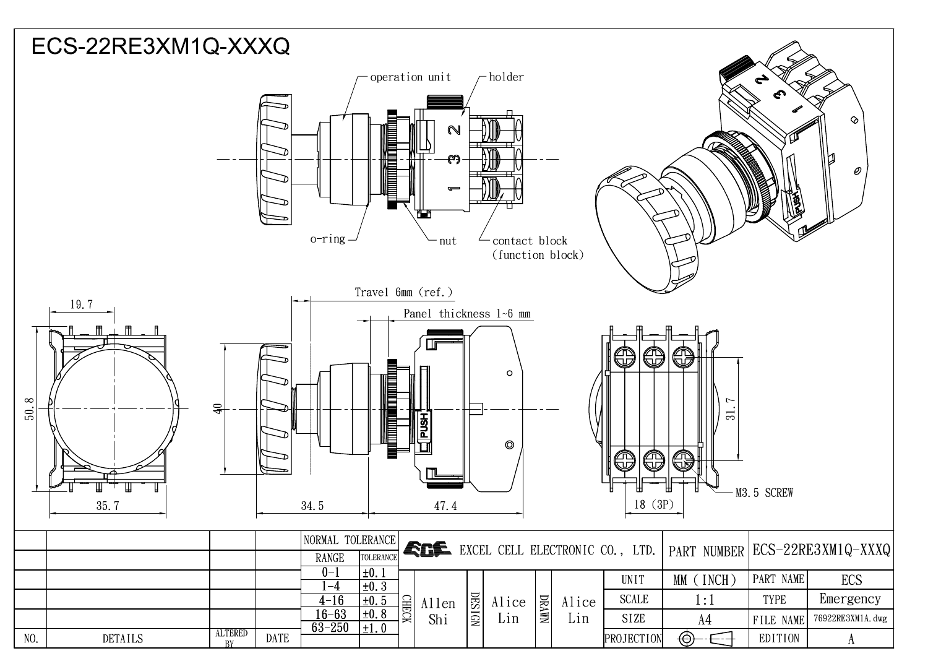